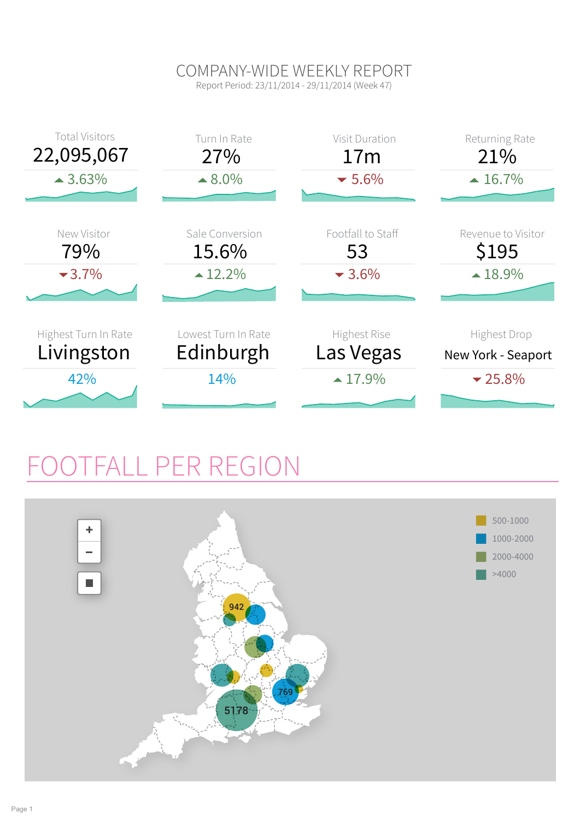### COMPANY-WIDE WEEKLY REPORT

Report Period: 23/11/2014 - 29/11/2014 (Week 47)



### FALL PER REGION

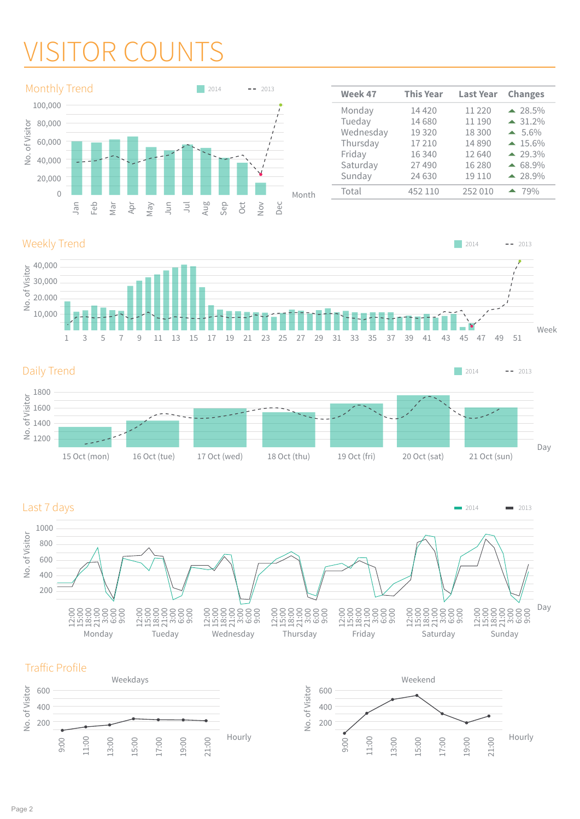### VISITOR COUNTS



| Week 47   | <b>This Year</b> | <b>Last Year</b> | <b>Changes</b>    |
|-----------|------------------|------------------|-------------------|
| Monday    | 14 4 20          | 11 2 2 0         | $\triangle$ 28.5% |
| Tueday    | 14 680           | 11 190           | $\triangle$ 31.2% |
| Wednesday | 19 3 20          | 18 300           | $\triangle$ 5.6%  |
| Thursday  | 17210            | 14890            | $-15.6\%$         |
| Friday    | 16 340           | 12 640           | $-29.3\%$         |
| Saturday  | 27 490           | 16 280           | $\triangle$ 68.9% |
| Sunday    | 24 630           | 19 110           | $-28.9%$          |
| Total     | 452 110          | 252 010          | $-79%$            |

 $2014$  -- 2013

### Weekly Trend







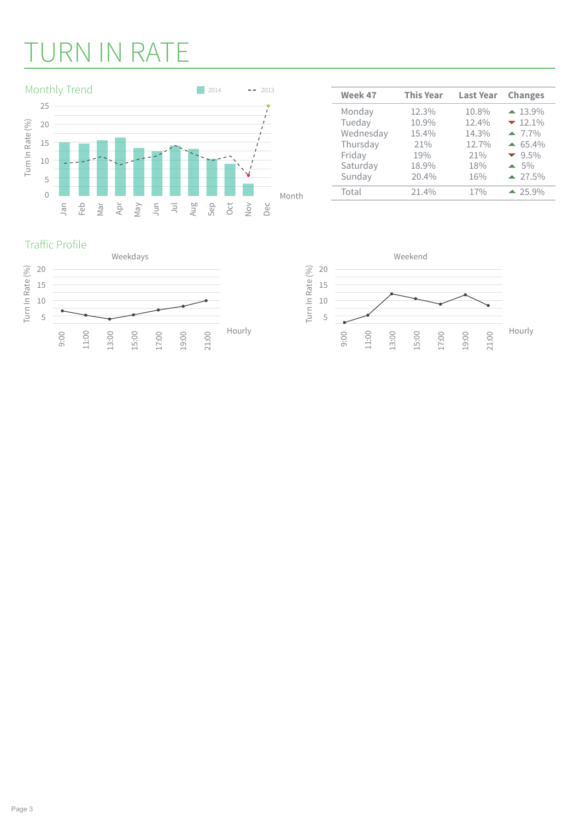# URN IN RATE



| Week 47   | <b>This Year</b> | <b>Last Year</b> | <b>Changes</b>    |  |  |
|-----------|------------------|------------------|-------------------|--|--|
| Monday    | 12.3%            | 10.8%            | $\triangle$ 13.9% |  |  |
| Tueday    | 10.9%            | 12.4%            | $-12.1\%$         |  |  |
| Wednesday | 15.4%            | 14.3%            | $-7.7\%$          |  |  |
| Thursday  | 21%              | 12.7%            | $\triangle$ 65.4% |  |  |
| Friday    | 19%              | 21%              | $-9.5\%$          |  |  |
| Saturday  | 18.9%            | 18%              | $\triangle$ 5%    |  |  |
| Sunday    | 20.4%            | 16%              | $\triangle$ 27.5% |  |  |
| Total     | 21.4%            | 17%              | $-25.9%$          |  |  |

#### Traffic Profile



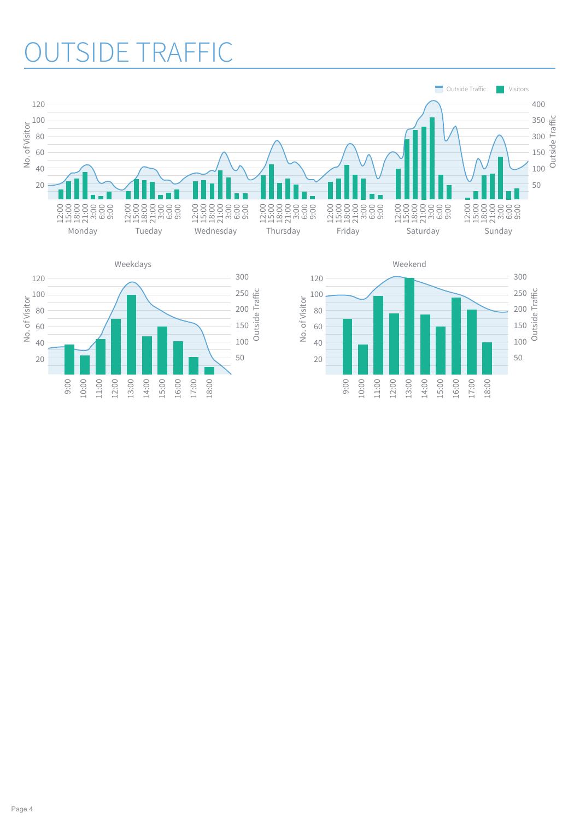### **SIDE TRAFFIC**



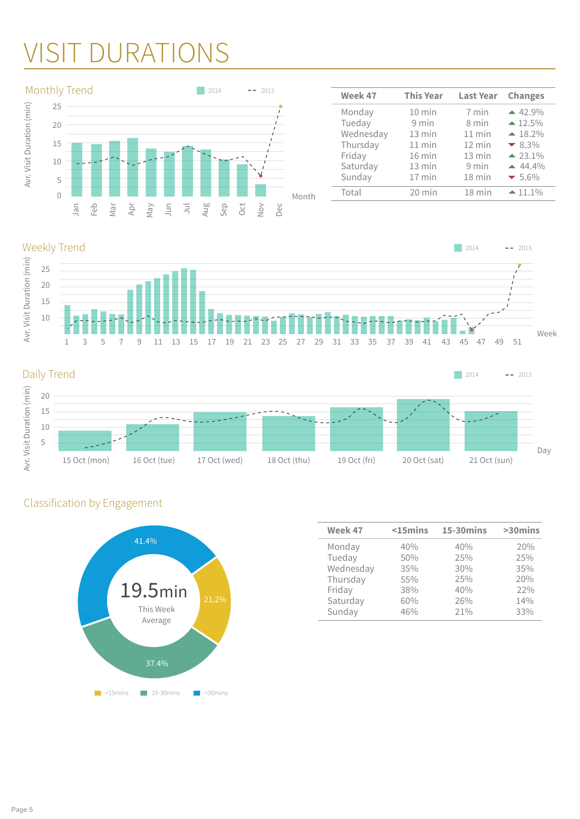### VISIT DURATIONS



| <b>This Year</b> | <b>Last Year</b> | <b>Changes</b>     |
|------------------|------------------|--------------------|
| $10$ min         | 7 min            | $-42.9%$           |
| $9$ min          | 8 min            | $\triangle 12.5\%$ |
| $13 \text{ min}$ | $11$ min         | $\triangle$ 18.2%  |
| $11$ min         | $12 \text{ min}$ | $-8.3%$            |
| $16$ min         | $13 \text{ min}$ | $-23.1%$           |
| $13 \text{ min}$ | 9 min            | $-44.4\%$          |
| $17$ min         | 18 min           | $-5.6\%$           |
| $20$ min         | $18$ min         | $-11.1%$           |
|                  |                  |                    |

Weekly Trend





### Classification by Engagement



| Week 47   | $15mins$ | <b>15-30mins</b> | >30mins |  |  |
|-----------|----------|------------------|---------|--|--|
| Monday    | 40%      | 40%              | 20%     |  |  |
| Tueday    | 50%      | 25%              | 25%     |  |  |
| Wednesday | 35%      | 30%              | 35%     |  |  |
| Thursday  | 55%      | 25%              | 20%     |  |  |
| Friday    | 38%      | 40%              | 22%     |  |  |
| Saturday  | 60%      | 26%              | 14%     |  |  |
| Sunday    | 46%      | 21%              | 33%     |  |  |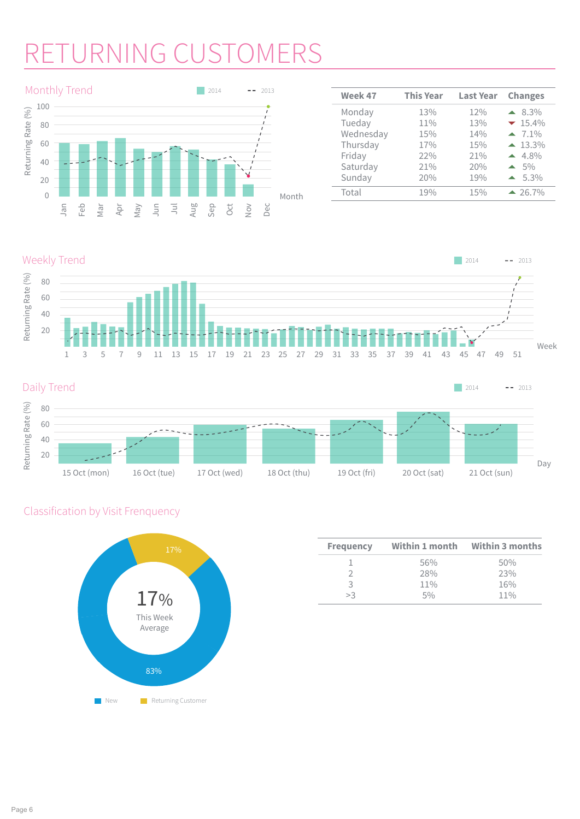# TURNING CUSTOMERS



| Week 47   | <b>This Year</b> | <b>Last Year</b> | <b>Changes</b>         |  |  |
|-----------|------------------|------------------|------------------------|--|--|
| Monday    | 13%              | 12%              | $\triangle$ 8.3%       |  |  |
| Tueday    | 11%              | 13%              | $-15.4\%$              |  |  |
| Wednesday | 15%              | 14%              | $-7.1\%$               |  |  |
| Thursday  | 17%              | 15%              | $\blacktriangle$ 13.3% |  |  |
| Friday    | 22%              | 21%              | $4.8\%$                |  |  |
| Saturday  | 21%              | 20%              | $\triangle$ 5%         |  |  |
| Sunday    | 20%              | 19%              | $\triangle$ 5.3%       |  |  |
| Total     | 19%              | 15%              | $-26.7%$               |  |  |

#### Weekly Trend





### Classification by Visit Frenquency



| <b>Frequency</b> | Within 1 month | <b>Within 3 months</b> |  |  |  |
|------------------|----------------|------------------------|--|--|--|
|                  | 56%            | 50%                    |  |  |  |
|                  | 28%            | 23%                    |  |  |  |
| 3                | 11%            | 16%                    |  |  |  |
| >3               | 50/6           | $11\%$                 |  |  |  |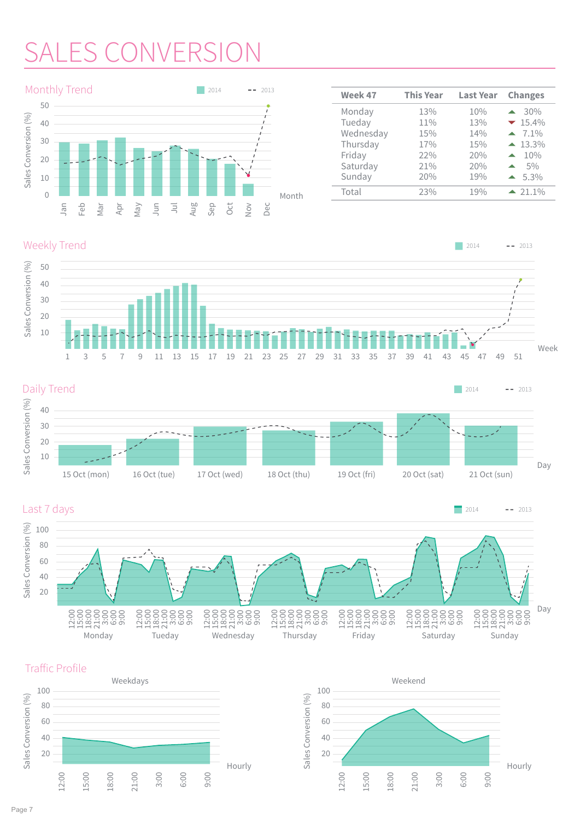# **SALES CONVERSI**



| Week 47   | <b>This Year</b> | <b>Last Year</b> | <b>Changes</b>             |
|-----------|------------------|------------------|----------------------------|
| Monday    | 13%              | 10%              | $30\%$<br>$\blacktriangle$ |
| Tueday    | 11%              | 13%              | $-15.4\%$                  |
| Wednesday | 15%              | 14%              | $-7.1\%$                   |
| Thursday  | 17%              | 15%              | $\blacktriangle$ 13.3%     |
| Friday    | 22%              | 20%              | 10%                        |
| Saturday  | 21%              | 20%              | 5%                         |
| Sunday    | 20%              | 19%              | $\triangle$ 5.3%           |
| Total     | 23%              | 19%              | $-21.1\%$                  |
|           |                  |                  |                            |

#### Weekly Trend







Traffic Profile